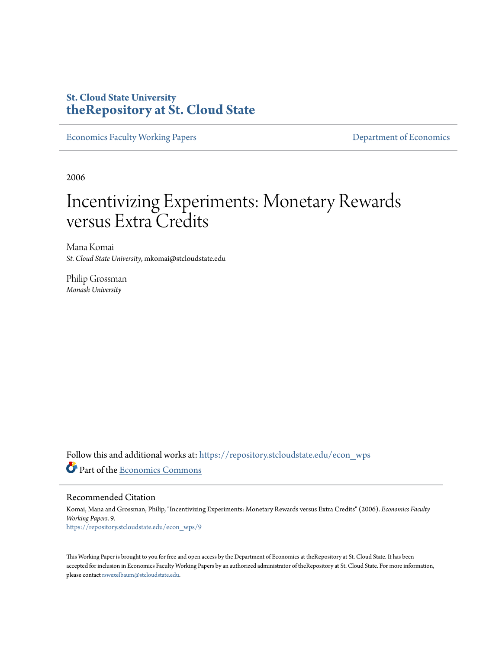# **St. Cloud State University [theRepository at St. Cloud State](https://repository.stcloudstate.edu?utm_source=repository.stcloudstate.edu%2Fecon_wps%2F9&utm_medium=PDF&utm_campaign=PDFCoverPages)**

[Economics Faculty Working Papers](https://repository.stcloudstate.edu/econ_wps?utm_source=repository.stcloudstate.edu%2Fecon_wps%2F9&utm_medium=PDF&utm_campaign=PDFCoverPages) **[Department of Economics](https://repository.stcloudstate.edu/econ?utm_source=repository.stcloudstate.edu%2Fecon_wps%2F9&utm_medium=PDF&utm_campaign=PDFCoverPages)** 

2006

# Incentivizing Experiments: Monetary Rewards versus Extra Credits

Mana Komai *St. Cloud State University*, mkomai@stcloudstate.edu

Philip Grossman *Monash University*

Follow this and additional works at: [https://repository.stcloudstate.edu/econ\\_wps](https://repository.stcloudstate.edu/econ_wps?utm_source=repository.stcloudstate.edu%2Fecon_wps%2F9&utm_medium=PDF&utm_campaign=PDFCoverPages) Part of the [Economics Commons](http://network.bepress.com/hgg/discipline/340?utm_source=repository.stcloudstate.edu%2Fecon_wps%2F9&utm_medium=PDF&utm_campaign=PDFCoverPages)

Recommended Citation

Komai, Mana and Grossman, Philip, "Incentivizing Experiments: Monetary Rewards versus Extra Credits" (2006). *Economics Faculty Working Papers*. 9. [https://repository.stcloudstate.edu/econ\\_wps/9](https://repository.stcloudstate.edu/econ_wps/9?utm_source=repository.stcloudstate.edu%2Fecon_wps%2F9&utm_medium=PDF&utm_campaign=PDFCoverPages)

This Working Paper is brought to you for free and open access by the Department of Economics at theRepository at St. Cloud State. It has been accepted for inclusion in Economics Faculty Working Papers by an authorized administrator of theRepository at St. Cloud State. For more information, please contact [rswexelbaum@stcloudstate.edu.](mailto:rswexelbaum@stcloudstate.edu)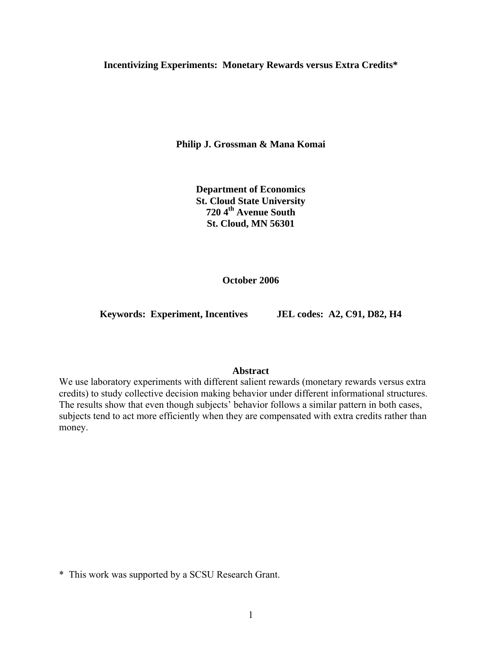**Incentivizing Experiments: Monetary Rewards versus Extra Credits\*** 

**Philip J. Grossman & Mana Komai** 

**Department of Economics St. Cloud State University 720 4th Avenue South St. Cloud, MN 56301** 

**October 2006** 

**Keywords: Experiment, Incentives JEL codes: A2, C91, D82, H4** 

# **Abstract**

We use laboratory experiments with different salient rewards (monetary rewards versus extra credits) to study collective decision making behavior under different informational structures. The results show that even though subjects' behavior follows a similar pattern in both cases, subjects tend to act more efficiently when they are compensated with extra credits rather than money.

\* This work was supported by a SCSU Research Grant.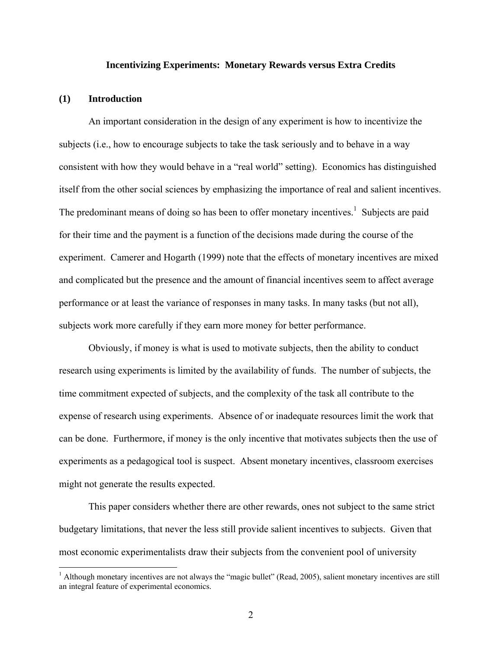#### **Incentivizing Experiments: Monetary Rewards versus Extra Credits**

# **(1) Introduction**

 An important consideration in the design of any experiment is how to incentivize the subjects (i.e., how to encourage subjects to take the task seriously and to behave in a way consistent with how they would behave in a "real world" setting). Economics has distinguished itself from the other social sciences by emphasizing the importance of real and salient incentives. The predominant means of doing so has been to offer monetary incentives.<sup>1</sup> Subjects are paid for their time and the payment is a function of the decisions made during the course of the experiment. Camerer and Hogarth (1999) note that the effects of monetary incentives are mixed and complicated but the presence and the amount of financial incentives seem to affect average performance or at least the variance of responses in many tasks. In many tasks (but not all), subjects work more carefully if they earn more money for better performance.

 Obviously, if money is what is used to motivate subjects, then the ability to conduct research using experiments is limited by the availability of funds. The number of subjects, the time commitment expected of subjects, and the complexity of the task all contribute to the expense of research using experiments. Absence of or inadequate resources limit the work that can be done. Furthermore, if money is the only incentive that motivates subjects then the use of experiments as a pedagogical tool is suspect. Absent monetary incentives, classroom exercises might not generate the results expected.

This paper considers whether there are other rewards, ones not subject to the same strict budgetary limitations, that never the less still provide salient incentives to subjects. Given that most economic experimentalists draw their subjects from the convenient pool of university

<sup>&</sup>lt;sup>1</sup> Although monetary incentives are not always the "magic bullet" (Read, 2005), salient monetary incentives are still an integral feature of experimental economics.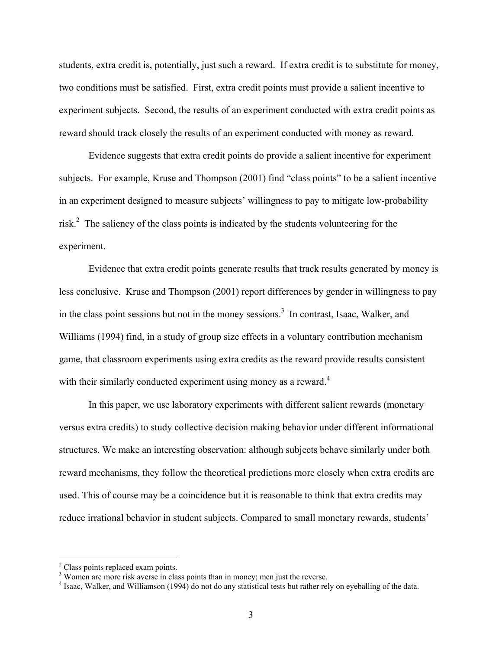students, extra credit is, potentially, just such a reward. If extra credit is to substitute for money, two conditions must be satisfied. First, extra credit points must provide a salient incentive to experiment subjects. Second, the results of an experiment conducted with extra credit points as reward should track closely the results of an experiment conducted with money as reward.

Evidence suggests that extra credit points do provide a salient incentive for experiment subjects. For example, Kruse and Thompson (2001) find "class points" to be a salient incentive in an experiment designed to measure subjects' willingness to pay to mitigate low-probability risk.<sup>2</sup> The saliency of the class points is indicated by the students volunteering for the experiment.

Evidence that extra credit points generate results that track results generated by money is less conclusive. Kruse and Thompson (2001) report differences by gender in willingness to pay in the class point sessions but not in the money sessions.<sup>3</sup> In contrast, Isaac, Walker, and Williams (1994) find, in a study of group size effects in a voluntary contribution mechanism game, that classroom experiments using extra credits as the reward provide results consistent with their similarly conducted experiment using money as a reward.<sup>4</sup>

 In this paper, we use laboratory experiments with different salient rewards (monetary versus extra credits) to study collective decision making behavior under different informational structures. We make an interesting observation: although subjects behave similarly under both reward mechanisms, they follow the theoretical predictions more closely when extra credits are used. This of course may be a coincidence but it is reasonable to think that extra credits may reduce irrational behavior in student subjects. Compared to small monetary rewards, students'

 $\overline{a}$ 

<sup>&</sup>lt;sup>2</sup> Class points replaced exam points.

<sup>&</sup>lt;sup>3</sup> Women are more risk averse in class points than in money; men just the reverse.

<sup>&</sup>lt;sup>4</sup> Isaac, Walker, and Williamson (1994) do not do any statistical tests but rather rely on eyeballing of the data.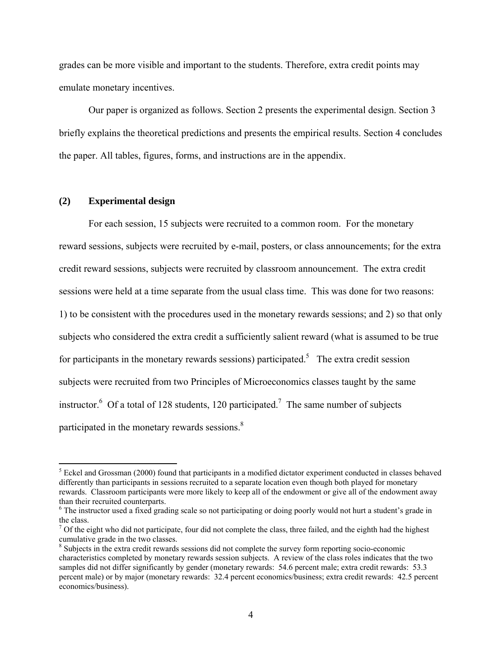grades can be more visible and important to the students. Therefore, extra credit points may emulate monetary incentives.

 Our paper is organized as follows. Section 2 presents the experimental design. Section 3 briefly explains the theoretical predictions and presents the empirical results. Section 4 concludes the paper. All tables, figures, forms, and instructions are in the appendix.

### **(2) Experimental design**

 $\overline{a}$ 

 For each session, 15 subjects were recruited to a common room. For the monetary reward sessions, subjects were recruited by e-mail, posters, or class announcements; for the extra credit reward sessions, subjects were recruited by classroom announcement. The extra credit sessions were held at a time separate from the usual class time. This was done for two reasons: 1) to be consistent with the procedures used in the monetary rewards sessions; and 2) so that only subjects who considered the extra credit a sufficiently salient reward (what is assumed to be true for participants in the monetary rewards sessions) participated.<sup>5</sup> The extra credit session subjects were recruited from two Principles of Microeconomics classes taught by the same instructor. <sup>6</sup> Of a total of 128 students, 120 participated.<sup>7</sup> The same number of subjects participated in the monetary rewards sessions.<sup>8</sup>

 $5$  Eckel and Grossman (2000) found that participants in a modified dictator experiment conducted in classes behaved differently than participants in sessions recruited to a separate location even though both played for monetary rewards. Classroom participants were more likely to keep all of the endowment or give all of the endowment away than their recruited counterparts.

<sup>&</sup>lt;sup>6</sup> The instructor used a fixed grading scale so not participating or doing poorly would not hurt a student's grade in the class.

 $<sup>7</sup>$  Of the eight who did not participate, four did not complete the class, three failed, and the eighth had the highest</sup> cumulative grade in the two classes.

<sup>&</sup>lt;sup>8</sup> Subjects in the extra credit rewards sessions did not complete the survey form reporting socio-economic characteristics completed by monetary rewards session subjects. A review of the class roles indicates that the two samples did not differ significantly by gender (monetary rewards: 54.6 percent male; extra credit rewards: 53.3 percent male) or by major (monetary rewards: 32.4 percent economics/business; extra credit rewards: 42.5 percent economics/business).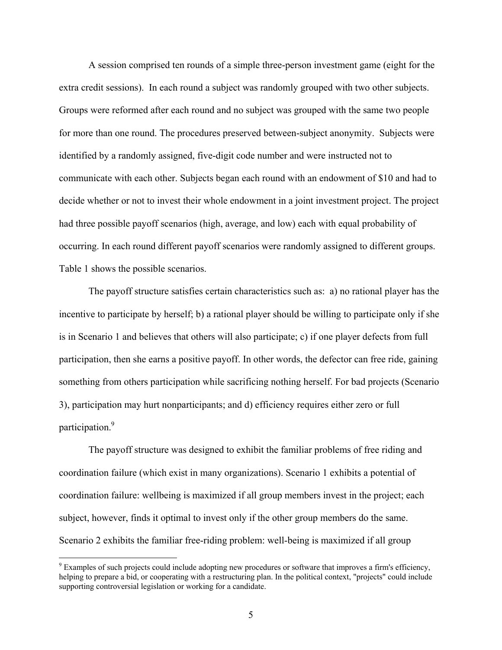A session comprised ten rounds of a simple three-person investment game (eight for the extra credit sessions). In each round a subject was randomly grouped with two other subjects. Groups were reformed after each round and no subject was grouped with the same two people for more than one round. The procedures preserved between-subject anonymity. Subjects were identified by a randomly assigned, five-digit code number and were instructed not to communicate with each other. Subjects began each round with an endowment of \$10 and had to decide whether or not to invest their whole endowment in a joint investment project. The project had three possible payoff scenarios (high, average, and low) each with equal probability of occurring. In each round different payoff scenarios were randomly assigned to different groups. Table 1 shows the possible scenarios.

 The payoff structure satisfies certain characteristics such as: a) no rational player has the incentive to participate by herself; b) a rational player should be willing to participate only if she is in Scenario 1 and believes that others will also participate; c) if one player defects from full participation, then she earns a positive payoff. In other words, the defector can free ride, gaining something from others participation while sacrificing nothing herself. For bad projects (Scenario 3), participation may hurt nonparticipants; and d) efficiency requires either zero or full participation.<sup>9</sup>

 The payoff structure was designed to exhibit the familiar problems of free riding and coordination failure (which exist in many organizations). Scenario 1 exhibits a potential of coordination failure: wellbeing is maximized if all group members invest in the project; each subject, however, finds it optimal to invest only if the other group members do the same. Scenario 2 exhibits the familiar free-riding problem: well-being is maximized if all group

 $9^9$  Examples of such projects could include adopting new procedures or software that improves a firm's efficiency, helping to prepare a bid, or cooperating with a restructuring plan. In the political context, "projects" could include supporting controversial legislation or working for a candidate.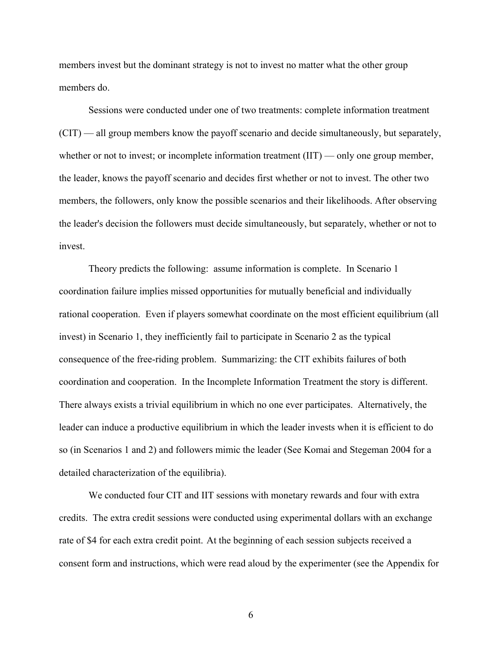members invest but the dominant strategy is not to invest no matter what the other group members do.

 Sessions were conducted under one of two treatments: complete information treatment (CIT) — all group members know the payoff scenario and decide simultaneously, but separately, whether or not to invest; or incomplete information treatment (IIT) — only one group member, the leader, knows the payoff scenario and decides first whether or not to invest. The other two members, the followers, only know the possible scenarios and their likelihoods. After observing the leader's decision the followers must decide simultaneously, but separately, whether or not to invest.

 Theory predicts the following: assume information is complete. In Scenario 1 coordination failure implies missed opportunities for mutually beneficial and individually rational cooperation. Even if players somewhat coordinate on the most efficient equilibrium (all invest) in Scenario 1, they inefficiently fail to participate in Scenario 2 as the typical consequence of the free-riding problem. Summarizing: the CIT exhibits failures of both coordination and cooperation. In the Incomplete Information Treatment the story is different. There always exists a trivial equilibrium in which no one ever participates. Alternatively, the leader can induce a productive equilibrium in which the leader invests when it is efficient to do so (in Scenarios 1 and 2) and followers mimic the leader (See Komai and Stegeman 2004 for a detailed characterization of the equilibria).

We conducted four CIT and IIT sessions with monetary rewards and four with extra credits. The extra credit sessions were conducted using experimental dollars with an exchange rate of \$4 for each extra credit point. At the beginning of each session subjects received a consent form and instructions, which were read aloud by the experimenter (see the Appendix for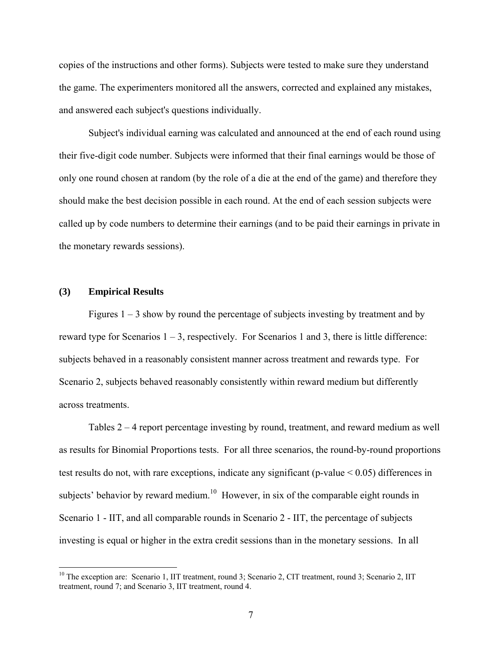copies of the instructions and other forms). Subjects were tested to make sure they understand the game. The experimenters monitored all the answers, corrected and explained any mistakes, and answered each subject's questions individually.

 Subject's individual earning was calculated and announced at the end of each round using their five-digit code number. Subjects were informed that their final earnings would be those of only one round chosen at random (by the role of a die at the end of the game) and therefore they should make the best decision possible in each round. At the end of each session subjects were called up by code numbers to determine their earnings (and to be paid their earnings in private in the monetary rewards sessions).

### **(3) Empirical Results**

 $\overline{a}$ 

 Figures 1 – 3 show by round the percentage of subjects investing by treatment and by reward type for Scenarios  $1 - 3$ , respectively. For Scenarios 1 and 3, there is little difference: subjects behaved in a reasonably consistent manner across treatment and rewards type. For Scenario 2, subjects behaved reasonably consistently within reward medium but differently across treatments.

Tables 2 – 4 report percentage investing by round, treatment, and reward medium as well as results for Binomial Proportions tests. For all three scenarios, the round-by-round proportions test results do not, with rare exceptions, indicate any significant (p-value < 0.05) differences in subjects' behavior by reward medium.<sup>10</sup> However, in six of the comparable eight rounds in Scenario 1 - IIT, and all comparable rounds in Scenario 2 - IIT, the percentage of subjects investing is equal or higher in the extra credit sessions than in the monetary sessions. In all

<sup>&</sup>lt;sup>10</sup> The exception are: Scenario 1, IIT treatment, round 3; Scenario 2, CIT treatment, round 3; Scenario 2, IIT treatment, round 7; and Scenario 3, IIT treatment, round 4.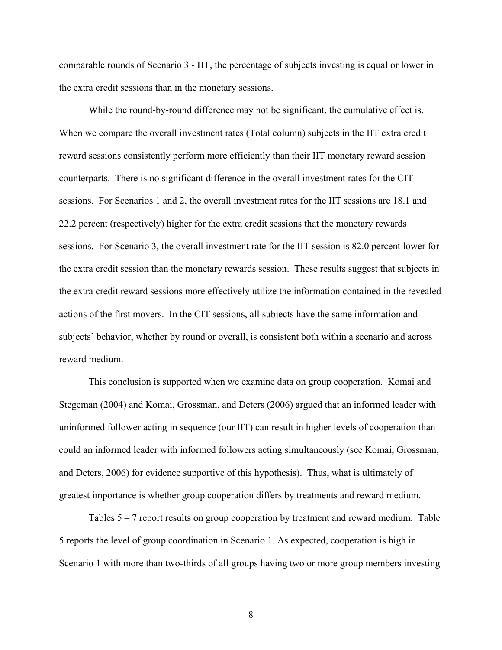comparable rounds of Scenario 3 - IIT, the percentage of subjects investing is equal or lower in the extra credit sessions than in the monetary sessions.

While the round-by-round difference may not be significant, the cumulative effect is. When we compare the overall investment rates (Total column) subjects in the IIT extra credit reward sessions consistently perform more efficiently than their IIT monetary reward session counterparts. There is no significant difference in the overall investment rates for the CIT sessions. For Scenarios 1 and 2, the overall investment rates for the IIT sessions are 18.1 and 22.2 percent (respectively) higher for the extra credit sessions that the monetary rewards sessions. For Scenario 3, the overall investment rate for the IIT session is 82.0 percent lower for the extra credit session than the monetary rewards session. These results suggest that subjects in the extra credit reward sessions more effectively utilize the information contained in the revealed actions of the first movers. In the CIT sessions, all subjects have the same information and subjects' behavior, whether by round or overall, is consistent both within a scenario and across reward medium.

 This conclusion is supported when we examine data on group cooperation. Komai and Stegeman (2004) and Komai, Grossman, and Deters (2006) argued that an informed leader with uninformed follower acting in sequence (our IIT) can result in higher levels of cooperation than could an informed leader with informed followers acting simultaneously (see Komai, Grossman, and Deters, 2006) for evidence supportive of this hypothesis). Thus, what is ultimately of greatest importance is whether group cooperation differs by treatments and reward medium.

Tables 5 – 7 report results on group cooperation by treatment and reward medium. Table 5 reports the level of group coordination in Scenario 1. As expected, cooperation is high in Scenario 1 with more than two-thirds of all groups having two or more group members investing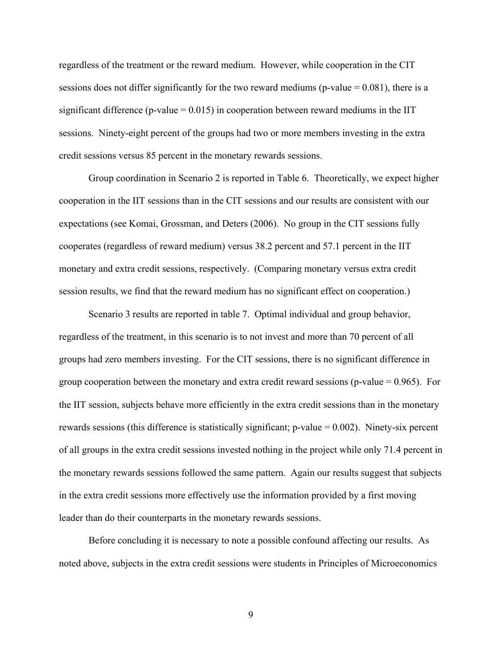regardless of the treatment or the reward medium. However, while cooperation in the CIT sessions does not differ significantly for the two reward mediums (p-value  $= 0.081$ ), there is a significant difference (p-value  $= 0.015$ ) in cooperation between reward mediums in the IIT sessions. Ninety-eight percent of the groups had two or more members investing in the extra credit sessions versus 85 percent in the monetary rewards sessions.

Group coordination in Scenario 2 is reported in Table 6. Theoretically, we expect higher cooperation in the IIT sessions than in the CIT sessions and our results are consistent with our expectations (see Komai, Grossman, and Deters (2006). No group in the CIT sessions fully cooperates (regardless of reward medium) versus 38.2 percent and 57.1 percent in the IIT monetary and extra credit sessions, respectively. (Comparing monetary versus extra credit session results, we find that the reward medium has no significant effect on cooperation.)

Scenario 3 results are reported in table 7. Optimal individual and group behavior, regardless of the treatment, in this scenario is to not invest and more than 70 percent of all groups had zero members investing. For the CIT sessions, there is no significant difference in group cooperation between the monetary and extra credit reward sessions (p-value  $= 0.965$ ). For the IIT session, subjects behave more efficiently in the extra credit sessions than in the monetary rewards sessions (this difference is statistically significant;  $p$ -value = 0.002). Ninety-six percent of all groups in the extra credit sessions invested nothing in the project while only 71.4 percent in the monetary rewards sessions followed the same pattern. Again our results suggest that subjects in the extra credit sessions more effectively use the information provided by a first moving leader than do their counterparts in the monetary rewards sessions.

 Before concluding it is necessary to note a possible confound affecting our results. As noted above, subjects in the extra credit sessions were students in Principles of Microeconomics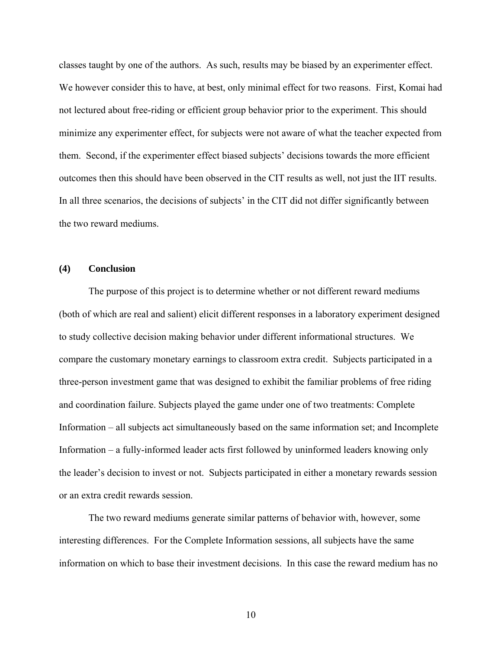classes taught by one of the authors. As such, results may be biased by an experimenter effect. We however consider this to have, at best, only minimal effect for two reasons. First, Komai had not lectured about free-riding or efficient group behavior prior to the experiment. This should minimize any experimenter effect, for subjects were not aware of what the teacher expected from them. Second, if the experimenter effect biased subjects' decisions towards the more efficient outcomes then this should have been observed in the CIT results as well, not just the IIT results. In all three scenarios, the decisions of subjects' in the CIT did not differ significantly between the two reward mediums.

# **(4) Conclusion**

The purpose of this project is to determine whether or not different reward mediums (both of which are real and salient) elicit different responses in a laboratory experiment designed to study collective decision making behavior under different informational structures. We compare the customary monetary earnings to classroom extra credit. Subjects participated in a three-person investment game that was designed to exhibit the familiar problems of free riding and coordination failure. Subjects played the game under one of two treatments: Complete Information – all subjects act simultaneously based on the same information set; and Incomplete Information – a fully-informed leader acts first followed by uninformed leaders knowing only the leader's decision to invest or not. Subjects participated in either a monetary rewards session or an extra credit rewards session.

The two reward mediums generate similar patterns of behavior with, however, some interesting differences. For the Complete Information sessions, all subjects have the same information on which to base their investment decisions. In this case the reward medium has no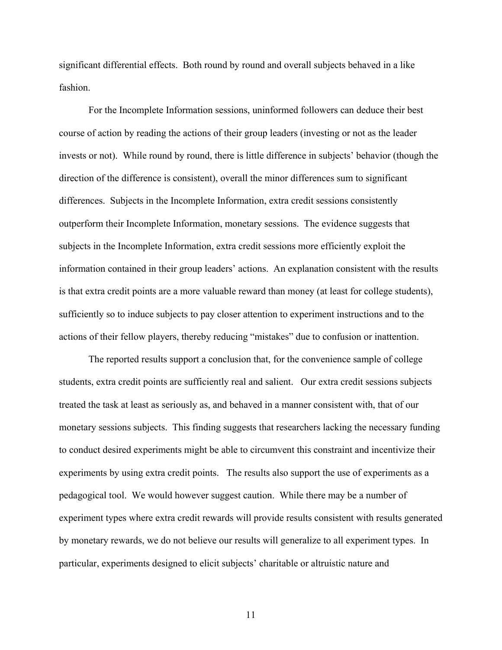significant differential effects. Both round by round and overall subjects behaved in a like fashion.

For the Incomplete Information sessions, uninformed followers can deduce their best course of action by reading the actions of their group leaders (investing or not as the leader invests or not). While round by round, there is little difference in subjects' behavior (though the direction of the difference is consistent), overall the minor differences sum to significant differences. Subjects in the Incomplete Information, extra credit sessions consistently outperform their Incomplete Information, monetary sessions. The evidence suggests that subjects in the Incomplete Information, extra credit sessions more efficiently exploit the information contained in their group leaders' actions. An explanation consistent with the results is that extra credit points are a more valuable reward than money (at least for college students), sufficiently so to induce subjects to pay closer attention to experiment instructions and to the actions of their fellow players, thereby reducing "mistakes" due to confusion or inattention.

The reported results support a conclusion that, for the convenience sample of college students, extra credit points are sufficiently real and salient. Our extra credit sessions subjects treated the task at least as seriously as, and behaved in a manner consistent with, that of our monetary sessions subjects. This finding suggests that researchers lacking the necessary funding to conduct desired experiments might be able to circumvent this constraint and incentivize their experiments by using extra credit points. The results also support the use of experiments as a pedagogical tool. We would however suggest caution. While there may be a number of experiment types where extra credit rewards will provide results consistent with results generated by monetary rewards, we do not believe our results will generalize to all experiment types. In particular, experiments designed to elicit subjects' charitable or altruistic nature and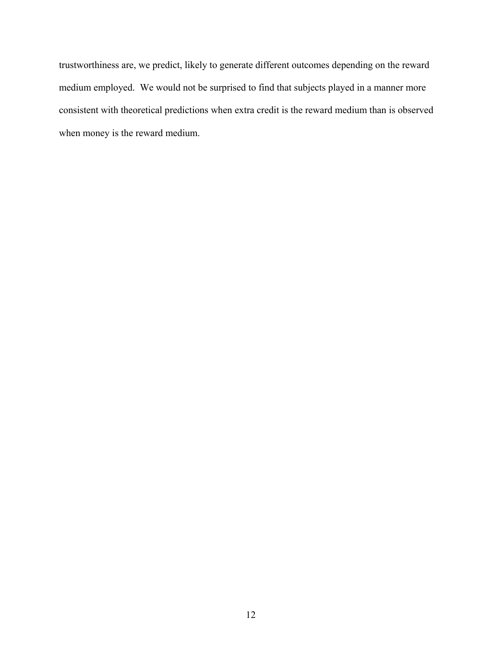trustworthiness are, we predict, likely to generate different outcomes depending on the reward medium employed. We would not be surprised to find that subjects played in a manner more consistent with theoretical predictions when extra credit is the reward medium than is observed when money is the reward medium.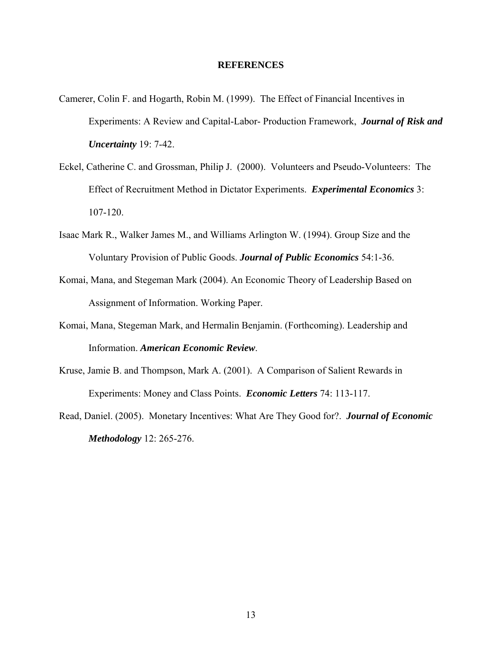#### **REFERENCES**

- Camerer, Colin F. and Hogarth, Robin M. (1999). The Effect of Financial Incentives in Experiments: A Review and Capital-Labor- Production Framework, *Journal of Risk and Uncertainty* 19: 7-42.
- Eckel, Catherine C. and Grossman, Philip J. (2000). Volunteers and Pseudo-Volunteers: The Effect of Recruitment Method in Dictator Experiments. *Experimental Economics* 3: 107-120.
- Isaac Mark R., Walker James M., and Williams Arlington W. (1994). Group Size and the Voluntary Provision of Public Goods. *Journal of Public Economics* 54:1-36.
- Komai, Mana, and Stegeman Mark (2004). An Economic Theory of Leadership Based on Assignment of Information. Working Paper.
- Komai, Mana, Stegeman Mark, and Hermalin Benjamin. (Forthcoming). Leadership and Information. *American Economic Review*.
- Kruse, Jamie B. and Thompson, Mark A. (2001). A Comparison of Salient Rewards in Experiments: Money and Class Points. *Economic Letters* 74: 113-117.
- Read, Daniel. (2005). Monetary Incentives: What Are They Good for?. *Journal of Economic Methodology* 12: 265-276.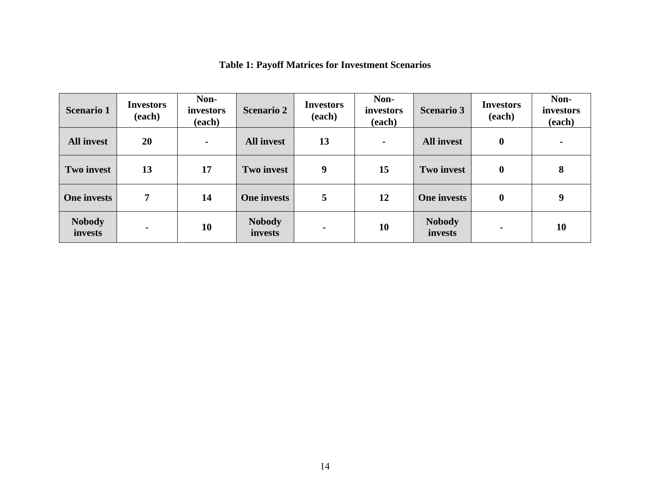| <b>Scenario 1</b>        | <b>Investors</b><br>(each) | Non-<br>investors<br>(each) | <b>Scenario 2</b>        | <b>Investors</b><br>(each) | Non-<br>investors<br>(each) | <b>Scenario 3</b>        | <b>Investors</b><br>(each) | Non-<br>investors<br>(each) |
|--------------------------|----------------------------|-----------------------------|--------------------------|----------------------------|-----------------------------|--------------------------|----------------------------|-----------------------------|
| <b>All invest</b>        | 20                         | $\blacksquare$              | <b>All invest</b>        | 13                         | $\blacksquare$              | <b>All invest</b>        | $\boldsymbol{0}$           | $\blacksquare$              |
| <b>Two invest</b>        | 13                         | 17                          | <b>Two invest</b>        | 9                          | 15                          | <b>Two invest</b>        | $\boldsymbol{0}$           | 8                           |
| One invests              | 7                          | 14                          | <b>One invests</b>       | 5                          | 12                          | <b>One invests</b>       | $\boldsymbol{0}$           | 9                           |
| <b>Nobody</b><br>invests | $\blacksquare$             | 10                          | <b>Nobody</b><br>invests | $\blacksquare$             | 10                          | <b>Nobody</b><br>invests | $\blacksquare$             | 10                          |

# **Table 1: Payoff Matrices for Investment Scenarios**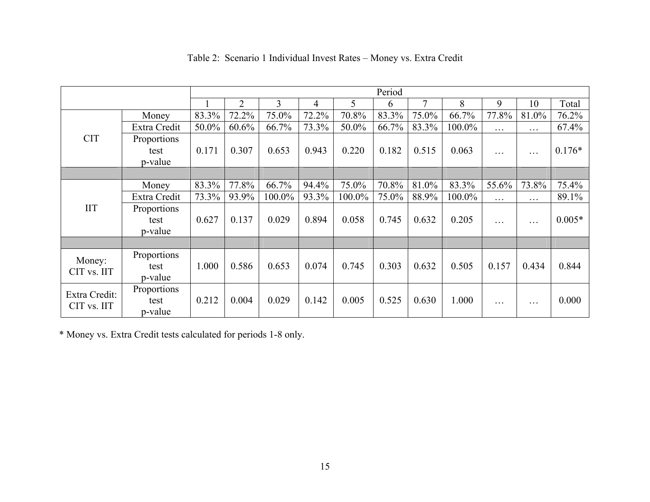|                              |                                |       |                |        |       |        | Period |       |        |          |           |          |
|------------------------------|--------------------------------|-------|----------------|--------|-------|--------|--------|-------|--------|----------|-----------|----------|
|                              |                                |       | $\overline{2}$ | 3      | 4     | 5      | 6      | 7     | 8      | 9        | 10        | Total    |
|                              | Money                          | 83.3% | 72.2%          | 75.0%  | 72.2% | 70.8%  | 83.3%  | 75.0% | 66.7%  | 77.8%    | 81.0%     | 76.2%    |
|                              | Extra Credit                   | 50.0% | $60.6\%$       | 66.7%  | 73.3% | 50.0%  | 66.7%  | 83.3% | 100.0% | $\cdots$ | $\cdots$  | 67.4%    |
| <b>CIT</b>                   | Proportions<br>test<br>p-value | 0.171 | 0.307          | 0.653  | 0.943 | 0.220  | 0.182  | 0.515 | 0.063  | $\cdots$ | .         | $0.176*$ |
|                              |                                |       |                |        |       |        |        |       |        |          |           |          |
|                              | Money                          | 83.3% | 77.8%          | 66.7%  | 94.4% | 75.0%  | 70.8%  | 81.0% | 83.3%  | 55.6%    | 73.8%     | 75.4%    |
|                              | Extra Credit                   | 73.3% | 93.9%          | 100.0% | 93.3% | 100.0% | 75.0%  | 88.9% | 100.0% | $\cdots$ | $\cdots$  | 89.1%    |
| <b>IIT</b>                   | Proportions<br>test<br>p-value | 0.627 | 0.137          | 0.029  | 0.894 | 0.058  | 0.745  | 0.632 | 0.205  | $\cdots$ | $\cdots$  | $0.005*$ |
|                              |                                |       |                |        |       |        |        |       |        |          |           |          |
| Money:<br>CIT vs. IIT        | Proportions<br>test<br>p-value | 1.000 | 0.586          | 0.653  | 0.074 | 0.745  | 0.303  | 0.632 | 0.505  | 0.157    | 0.434     | 0.844    |
| Extra Credit:<br>CIT vs. IIT | Proportions<br>test<br>p-value | 0.212 | 0.004          | 0.029  | 0.142 | 0.005  | 0.525  | 0.630 | 1.000  | .        | $\ddotsc$ | 0.000    |

# Table 2: Scenario 1 Individual Invest Rates – Money vs. Extra Credit

\* Money vs. Extra Credit tests calculated for periods 1-8 only.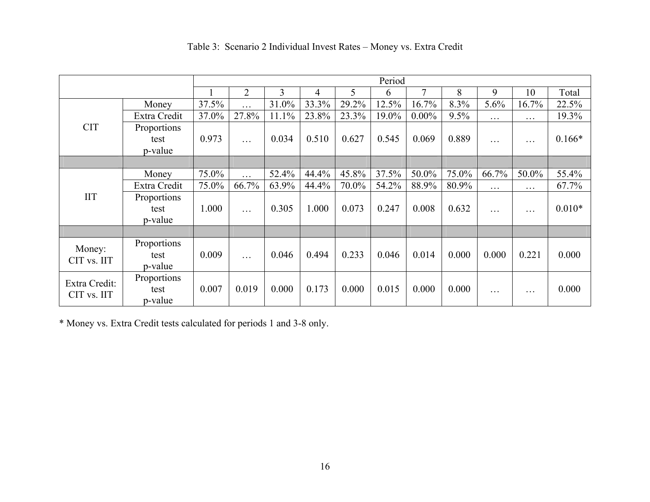|                              |                                |       |                |       |       |       | Period |                |       |          |          |          |
|------------------------------|--------------------------------|-------|----------------|-------|-------|-------|--------|----------------|-------|----------|----------|----------|
|                              |                                |       | $\overline{2}$ | 3     | 4     | 5     | 6      | $\overline{7}$ | 8     | 9        | 10       | Total    |
|                              | Money                          | 37.5% | $\cdots$       | 31.0% | 33.3% | 29.2% | 12.5%  | 16.7%          | 8.3%  | 5.6%     | 16.7%    | 22.5%    |
|                              | Extra Credit                   | 37.0% | 27.8%          | 11.1% | 23.8% | 23.3% | 19.0%  | $0.00\%$       | 9.5%  | $\cdots$ | $\cdots$ | 19.3%    |
| <b>CIT</b>                   | Proportions<br>test<br>p-value | 0.973 | .              | 0.034 | 0.510 | 0.627 | 0.545  | 0.069          | 0.889 | .        | .        | $0.166*$ |
|                              |                                |       |                |       |       |       |        |                |       |          |          |          |
|                              | Money                          | 75.0% | $\cdots$       | 52.4% | 44.4% | 45.8% | 37.5%  | 50.0%          | 75.0% | 66.7%    | 50.0%    | 55.4%    |
|                              | Extra Credit                   | 75.0% | 66.7%          | 63.9% | 44.4% | 70.0% | 54.2%  | 88.9%          | 80.9% | $\cdots$ | $\cdots$ | 67.7%    |
| <b>IIT</b>                   | Proportions<br>test<br>p-value | 1.000 | $\cdots$       | 0.305 | 1.000 | 0.073 | 0.247  | 0.008          | 0.632 | .        | .        | $0.010*$ |
|                              |                                |       |                |       |       |       |        |                |       |          |          |          |
| Money:<br>CIT vs. IIT        | Proportions<br>test<br>p-value | 0.009 | $\cdots$       | 0.046 | 0.494 | 0.233 | 0.046  | 0.014          | 0.000 | 0.000    | 0.221    | 0.000    |
| Extra Credit:<br>CIT vs. IIT | Proportions<br>test<br>p-value | 0.007 | 0.019          | 0.000 | 0.173 | 0.000 | 0.015  | 0.000          | 0.000 | .        | .        | 0.000    |

# Table 3: Scenario 2 Individual Invest Rates – Money vs. Extra Credit

\* Money vs. Extra Credit tests calculated for periods 1 and 3-8 only.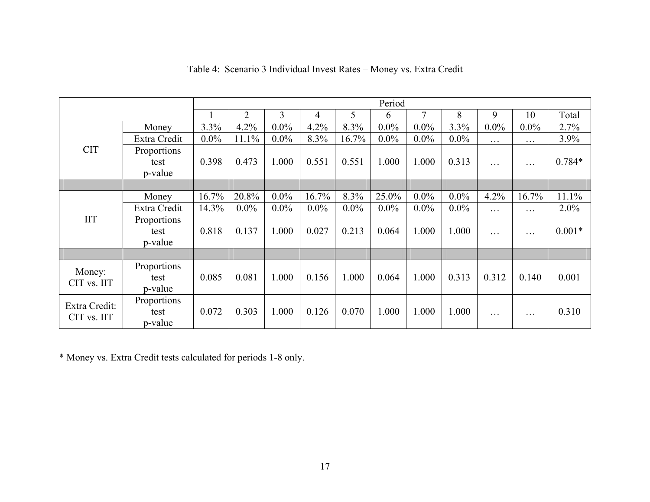|                              |                                |         |                |         |         |          | Period  |         |         |          |           |          |
|------------------------------|--------------------------------|---------|----------------|---------|---------|----------|---------|---------|---------|----------|-----------|----------|
|                              |                                |         | $\overline{2}$ | 3       | 4       | 5        | 6       | 7       | 8       | 9        | 10        | Total    |
|                              | Money                          | 3.3%    | 4.2%           | $0.0\%$ | 4.2%    | 8.3%     | $0.0\%$ | $0.0\%$ | 3.3%    | $0.0\%$  | $0.0\%$   | 2.7%     |
|                              | Extra Credit                   | $0.0\%$ | 11.1%          | $0.0\%$ | 8.3%    | $16.7\%$ | $0.0\%$ | $0.0\%$ | $0.0\%$ | $\cdots$ | $\cdots$  | 3.9%     |
| <b>CIT</b>                   | Proportions<br>test<br>p-value | 0.398   | 0.473          | 1.000   | 0.551   | 0.551    | 1.000   | 1.000   | 0.313   | .        | $\cdots$  | $0.784*$ |
|                              |                                |         |                |         |         |          |         |         |         |          |           |          |
|                              | Money                          | 16.7%   | 20.8%          | $0.0\%$ | 16.7%   | 8.3%     | 25.0%   | $0.0\%$ | $0.0\%$ | 4.2%     | 16.7%     | 11.1%    |
|                              | Extra Credit                   | 14.3%   | $0.0\%$        | $0.0\%$ | $0.0\%$ | $0.0\%$  | $0.0\%$ | $0.0\%$ | $0.0\%$ | $\cdots$ | $\ddotsc$ | $2.0\%$  |
| <b>IIT</b>                   | Proportions<br>test<br>p-value | 0.818   | 0.137          | 1.000   | 0.027   | 0.213    | 0.064   | 1.000   | 1.000   | $\cdots$ | $\cdots$  | $0.001*$ |
|                              |                                |         |                |         |         |          |         |         |         |          |           |          |
| Money:<br>CIT vs. IIT        | Proportions<br>test<br>p-value | 0.085   | 0.081          | 1.000   | 0.156   | 1.000    | 0.064   | 1.000   | 0.313   | 0.312    | 0.140     | 0.001    |
| Extra Credit:<br>CIT vs. IIT | Proportions<br>test<br>p-value | 0.072   | 0.303          | 1.000   | 0.126   | 0.070    | 1.000   | 1.000   | 1.000   | $\cdots$ | $\cdots$  | 0.310    |

Table 4: Scenario 3 Individual Invest Rates – Money vs. Extra Credit

\* Money vs. Extra Credit tests calculated for periods 1-8 only.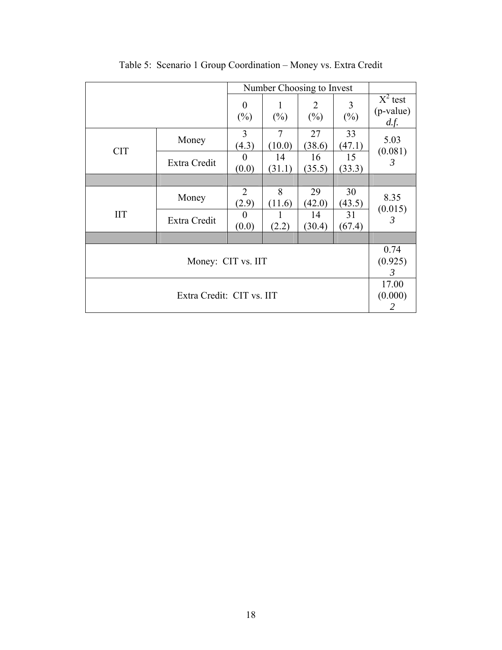|                           |              |                   | Number Choosing to Invest |              |              |                                 |  |  |
|---------------------------|--------------|-------------------|---------------------------|--------------|--------------|---------------------------------|--|--|
|                           |              | $\theta$<br>(%)   | 1<br>$(\%)$               | 2<br>$(\%)$  | 3<br>$(\%)$  | $X^2$ test<br>(p-value)<br>d.f. |  |  |
| <b>CIT</b>                | Money        | 3<br>(4.3)        | 7<br>(10.0)               | 27<br>(38.6) | 33<br>(47.1) | 5.03<br>(0.081)                 |  |  |
|                           | Extra Credit | $\theta$<br>(0.0) | 14<br>(31.1)              | 16<br>(35.5) | 15<br>(33.3) | $\mathfrak{Z}$                  |  |  |
|                           |              |                   |                           |              |              |                                 |  |  |
|                           | Money        | 2<br>(2.9)        | 8<br>(11.6)               | 29<br>(42.0) | 30<br>(43.5) | 8.35<br>(0.015)                 |  |  |
| <b>IIT</b>                | Extra Credit | 0<br>(0.0)        | (2.2)                     | 14<br>(30.4) | 31<br>(67.4) | 3                               |  |  |
|                           |              |                   |                           |              |              |                                 |  |  |
| Money: CIT vs. IIT        |              |                   |                           |              |              |                                 |  |  |
| Extra Credit: CIT vs. IIT |              |                   |                           |              |              |                                 |  |  |

Table 5: Scenario 1 Group Coordination – Money vs. Extra Credit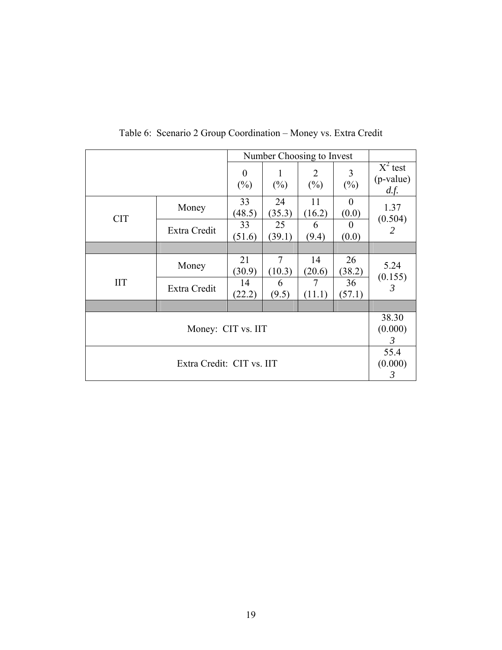|                           |              |                             | Number Choosing to Invest |              |                   |                                 |  |  |
|---------------------------|--------------|-----------------------------|---------------------------|--------------|-------------------|---------------------------------|--|--|
|                           |              | $\boldsymbol{0}$<br>$(\% )$ | 1<br>$(\%)$               | 2<br>$(\%)$  | 3<br>$(\%)$       | $X^2$ test<br>(p-value)<br>d.f. |  |  |
| <b>CIT</b>                | Money        | 33<br>(48.5)                | 24<br>(35.3)              | 11<br>(16.2) | $\theta$<br>(0.0) | 1.37<br>(0.504)                 |  |  |
|                           | Extra Credit | 33<br>(51.6)                | 25<br>(39.1)              | 6<br>(9.4)   | $\Omega$<br>(0.0) | 2                               |  |  |
|                           |              |                             |                           |              |                   |                                 |  |  |
|                           | Money        | 21<br>(30.9)                | 7<br>(10.3)               | 14<br>(20.6) | 26<br>(38.2)      | 5.24<br>(0.155)                 |  |  |
| <b>IIT</b>                | Extra Credit | 14<br>(22.2)                | 6<br>(9.5)                | 7<br>(11.1)  | 36<br>(57.1)      | 3                               |  |  |
|                           |              |                             |                           |              |                   |                                 |  |  |
| Money: CIT vs. IIT        |              |                             |                           |              |                   |                                 |  |  |
| Extra Credit: CIT vs. IIT |              |                             |                           |              |                   |                                 |  |  |

Table 6: Scenario 2 Group Coordination – Money vs. Extra Credit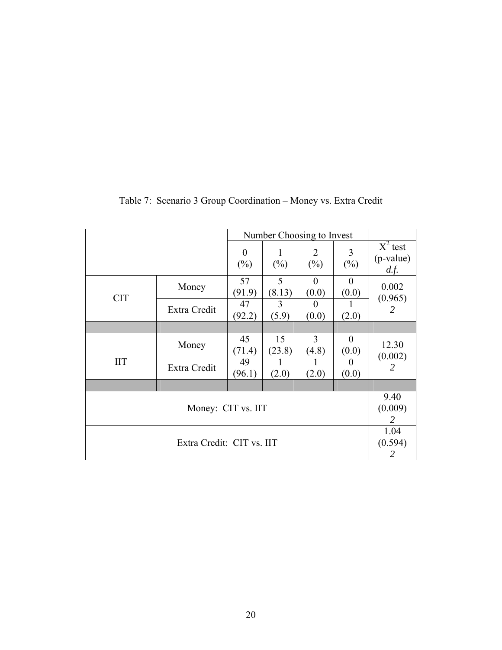|                           |              |                           | Number Choosing to Invest |                   |                   |                                 |  |  |
|---------------------------|--------------|---------------------------|---------------------------|-------------------|-------------------|---------------------------------|--|--|
|                           |              | $\overline{0}$<br>$(\% )$ | 1<br>(%)                  | 2<br>$(\%)$       | 3<br>$(\% )$      | $X^2$ test<br>(p-value)<br>d.f. |  |  |
| <b>CIT</b>                | Money        | 57<br>(91.9)              | 5<br>(8.13)               | $\Omega$<br>(0.0) | $\theta$<br>(0.0) | 0.002<br>(0.965)                |  |  |
|                           | Extra Credit | 47<br>(92.2)              | 3<br>(5.9)                | $\theta$<br>(0.0) | (2.0)             | 2                               |  |  |
|                           |              |                           |                           |                   |                   |                                 |  |  |
|                           | Money        | 45<br>(71.4)              | 15<br>(23.8)              | 3<br>(4.8)        | $\theta$<br>(0.0) | 12.30                           |  |  |
| <b>IIT</b>                | Extra Credit | 49<br>(96.1)              | (2.0)                     | (2.0)             | $\theta$<br>(0.0) | (0.002)<br>2                    |  |  |
|                           |              |                           |                           |                   |                   |                                 |  |  |
| Money: CIT vs. IIT        |              |                           |                           |                   |                   |                                 |  |  |
| Extra Credit: CIT vs. IIT |              |                           |                           |                   |                   |                                 |  |  |

Table 7: Scenario 3 Group Coordination – Money vs. Extra Credit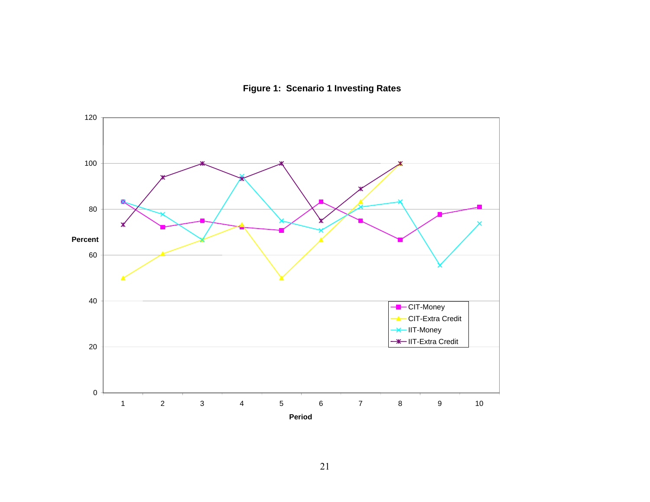**Figure 1: Scenario 1 Investing Rates**

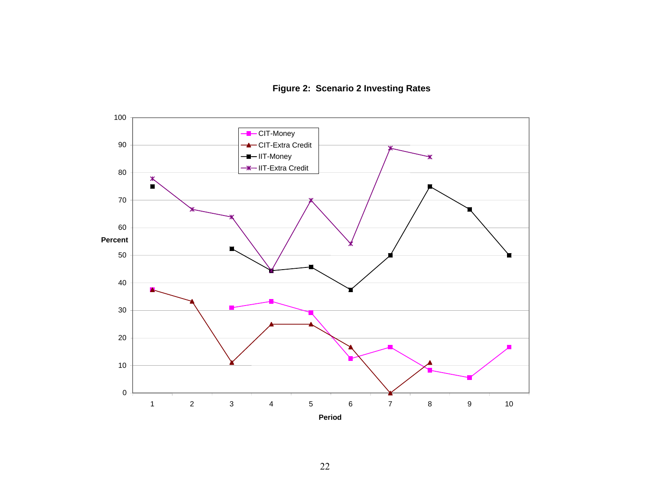**Figure 2: Scenario 2 Investing Rates**

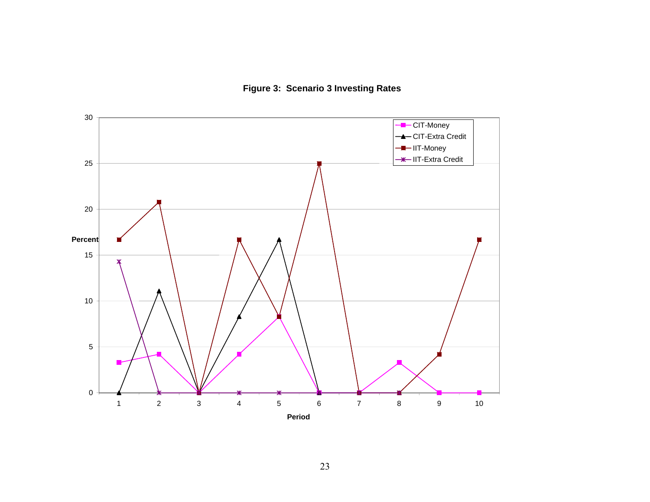

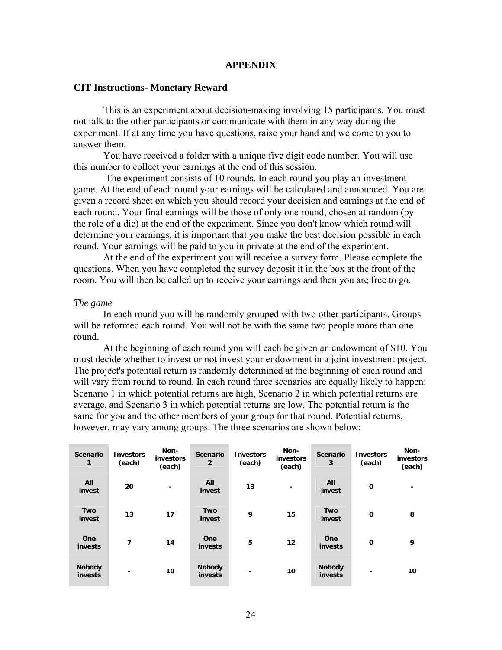#### **APPENDIX**

#### **CIT Instructions- Monetary Reward**

 This is an experiment about decision-making involving 15 participants. You must not talk to the other participants or communicate with them in any way during the experiment. If at any time you have questions, raise your hand and we come to you to answer them.

 You have received a folder with a unique five digit code number. You will use this number to collect your earnings at the end of this session.

 The experiment consists of 10 rounds. In each round you play an investment game. At the end of each round your earnings will be calculated and announced. You are given a record sheet on which you should record your decision and earnings at the end of each round. Your final earnings will be those of only one round, chosen at random (by the role of a die) at the end of the experiment. Since you don't know which round will determine your earnings, it is important that you make the best decision possible in each round. Your earnings will be paid to you in private at the end of the experiment.

 At the end of the experiment you will receive a survey form. Please complete the questions. When you have completed the survey deposit it in the box at the front of the room. You will then be called up to receive your earnings and then you are free to go.

# *The game*

In each round you will be randomly grouped with two other participants. Groups will be reformed each round. You will not be with the same two people more than one round.

 At the beginning of each round you will each be given an endowment of \$10. You must decide whether to invest or not invest your endowment in a joint investment project. The project's potential return is randomly determined at the beginning of each round and will vary from round to round. In each round three scenarios are equally likely to happen: Scenario 1 in which potential returns are high, Scenario 2 in which potential returns are average, and Scenario 3 in which potential returns are low. The potential return is the same for you and the other members of your group for that round. Potential returns, however, may vary among groups. The three scenarios are shown below:

| <b>Scenario</b><br>1     | <b>Investors</b><br>(each) | Non-<br><b>investors</b><br>(each) | <b>Scenario</b><br>$\overline{2}$ | <b>Investors</b><br>(each) | Non-<br>investors<br>(each) | <b>Scenario</b><br>3     | <b>Investors</b><br>(each) | Non-<br><b>investors</b><br>(each) |
|--------------------------|----------------------------|------------------------------------|-----------------------------------|----------------------------|-----------------------------|--------------------------|----------------------------|------------------------------------|
| All<br>invest            | 20                         | $\blacksquare$                     | All<br>invest                     | 13                         | ۰                           | All<br>invest            | 0                          | -                                  |
| <b>Two</b><br>invest     | 13                         | 17                                 | <b>Two</b><br>invest              | 9                          | 15                          | <b>Two</b><br>invest     | 0                          | 8                                  |
| One<br>invests           | 7                          | 14                                 | <b>One</b><br><b>invests</b>      | $5\phantom{1}$             | 12                          | <b>One</b><br>invests    | 0                          | 9                                  |
| <b>Nobody</b><br>invests |                            | 10                                 | <b>Nobody</b><br>invests          | $\blacksquare$             | 10                          | <b>Nobody</b><br>invests |                            | 10                                 |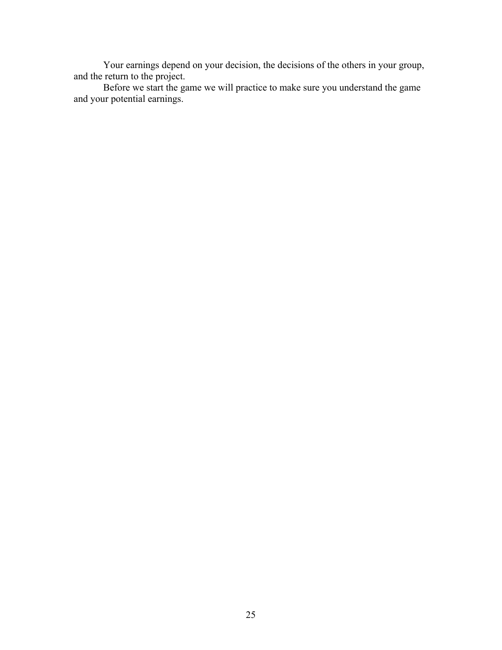Your earnings depend on your decision, the decisions of the others in your group, and the return to the project.

 Before we start the game we will practice to make sure you understand the game and your potential earnings.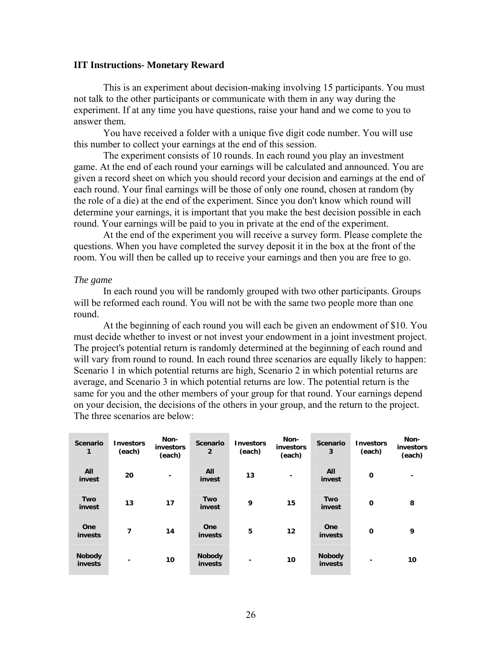#### **IIT Instructions- Monetary Reward**

 This is an experiment about decision-making involving 15 participants. You must not talk to the other participants or communicate with them in any way during the experiment. If at any time you have questions, raise your hand and we come to you to answer them.

 You have received a folder with a unique five digit code number. You will use this number to collect your earnings at the end of this session.

 The experiment consists of 10 rounds. In each round you play an investment game. At the end of each round your earnings will be calculated and announced. You are given a record sheet on which you should record your decision and earnings at the end of each round. Your final earnings will be those of only one round, chosen at random (by the role of a die) at the end of the experiment. Since you don't know which round will determine your earnings, it is important that you make the best decision possible in each round. Your earnings will be paid to you in private at the end of the experiment.

 At the end of the experiment you will receive a survey form. Please complete the questions. When you have completed the survey deposit it in the box at the front of the room. You will then be called up to receive your earnings and then you are free to go.

#### *The game*

In each round you will be randomly grouped with two other participants. Groups will be reformed each round. You will not be with the same two people more than one round.

At the beginning of each round you will each be given an endowment of \$10. You must decide whether to invest or not invest your endowment in a joint investment project. The project's potential return is randomly determined at the beginning of each round and will vary from round to round. In each round three scenarios are equally likely to happen: Scenario 1 in which potential returns are high, Scenario 2 in which potential returns are average, and Scenario 3 in which potential returns are low. The potential return is the same for you and the other members of your group for that round. Your earnings depend on your decision, the decisions of the others in your group, and the return to the project. The three scenarios are below:

| Scenario<br>1            | <b>Investors</b><br>(each) | Non-<br>investors<br>(each) | <b>Scenario</b><br>$\overline{2}$ | <b>Investors</b><br>(each) | Non-<br><i>investors</i><br>(each) | <b>Scenario</b><br>3     | <b>Investors</b><br>(each) | Non-<br>investors<br>(each) |
|--------------------------|----------------------------|-----------------------------|-----------------------------------|----------------------------|------------------------------------|--------------------------|----------------------------|-----------------------------|
| All<br>invest            | 20                         | $\blacksquare$              | All<br>invest                     | 13                         | ٠                                  | All<br>invest            | $\mathbf 0$                | ۰                           |
| <b>Two</b><br>invest     | 13                         | 17                          | <b>Two</b><br>invest              | 9                          | 15                                 | Two<br>invest            | 0                          | 8                           |
| <b>One</b><br>invests    | 7                          | 14                          | One<br>invests                    | 5                          | 12                                 | One<br>invests           | $\mathbf 0$                | 9                           |
| <b>Nobody</b><br>invests |                            | 10                          | <b>Nobody</b><br>invests          | $\blacksquare$             | 10                                 | <b>Nobody</b><br>invests |                            | 10                          |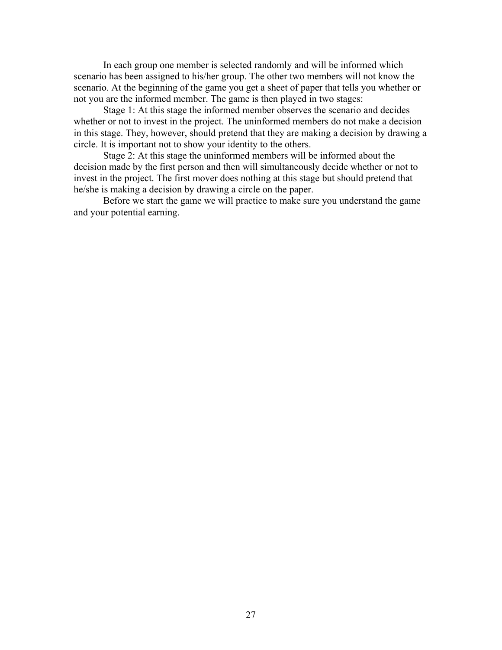In each group one member is selected randomly and will be informed which scenario has been assigned to his/her group. The other two members will not know the scenario. At the beginning of the game you get a sheet of paper that tells you whether or not you are the informed member. The game is then played in two stages:

 Stage 1: At this stage the informed member observes the scenario and decides whether or not to invest in the project. The uninformed members do not make a decision in this stage. They, however, should pretend that they are making a decision by drawing a circle. It is important not to show your identity to the others.

 Stage 2: At this stage the uninformed members will be informed about the decision made by the first person and then will simultaneously decide whether or not to invest in the project. The first mover does nothing at this stage but should pretend that he/she is making a decision by drawing a circle on the paper.

 Before we start the game we will practice to make sure you understand the game and your potential earning.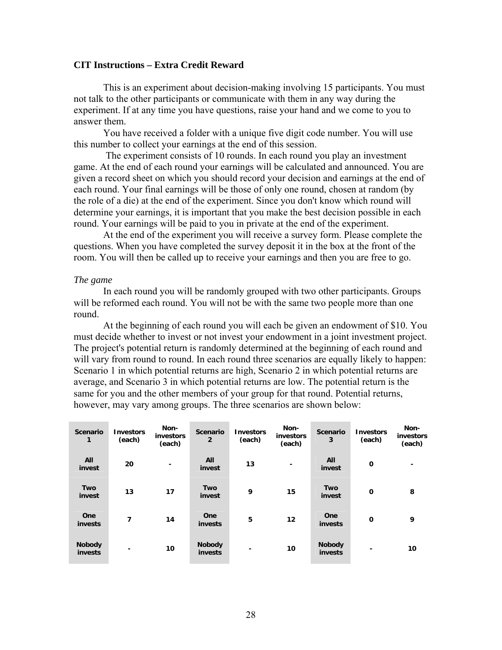### **CIT Instructions – Extra Credit Reward**

 This is an experiment about decision-making involving 15 participants. You must not talk to the other participants or communicate with them in any way during the experiment. If at any time you have questions, raise your hand and we come to you to answer them.

 You have received a folder with a unique five digit code number. You will use this number to collect your earnings at the end of this session.

 The experiment consists of 10 rounds. In each round you play an investment game. At the end of each round your earnings will be calculated and announced. You are given a record sheet on which you should record your decision and earnings at the end of each round. Your final earnings will be those of only one round, chosen at random (by the role of a die) at the end of the experiment. Since you don't know which round will determine your earnings, it is important that you make the best decision possible in each round. Your earnings will be paid to you in private at the end of the experiment.

 At the end of the experiment you will receive a survey form. Please complete the questions. When you have completed the survey deposit it in the box at the front of the room. You will then be called up to receive your earnings and then you are free to go.

#### *The game*

In each round you will be randomly grouped with two other participants. Groups will be reformed each round. You will not be with the same two people more than one round.

 At the beginning of each round you will each be given an endowment of \$10. You must decide whether to invest or not invest your endowment in a joint investment project. The project's potential return is randomly determined at the beginning of each round and will vary from round to round. In each round three scenarios are equally likely to happen: Scenario 1 in which potential returns are high, Scenario 2 in which potential returns are average, and Scenario 3 in which potential returns are low. The potential return is the same for you and the other members of your group for that round. Potential returns, however, may vary among groups. The three scenarios are shown below:

| <b>Scenario</b><br>$\mathbf{1}$ | <b>Investors</b><br>(each) | Non-<br>investors<br>(each) | <b>Scenario</b><br>$\overline{2}$ | <b>Investors</b><br>(each) | Non-<br>investors<br>(each) | <b>Scenario</b><br>$\overline{3}$ | <b>Investors</b><br>(each) | Non-<br>investors<br>(each) |
|---------------------------------|----------------------------|-----------------------------|-----------------------------------|----------------------------|-----------------------------|-----------------------------------|----------------------------|-----------------------------|
| All<br>invest                   | 20                         |                             | All<br>invest                     | 13                         | ٠                           | All<br>invest                     | 0                          |                             |
| <b>Two</b><br>invest            | 13                         | 17                          | Two<br>invest                     | 9                          | 15                          | Two<br>invest                     | 0                          | 8                           |
| <b>One</b><br>invests           | 7                          | 14                          | One<br>invests                    | 5                          | 12                          | One<br>invests                    | $\mathbf 0$                | 9                           |
| Nobody<br>invests               |                            | 10                          | <b>Nobody</b><br>invests          | ۰                          | 10                          | <b>Nobody</b><br>invests          |                            | 10                          |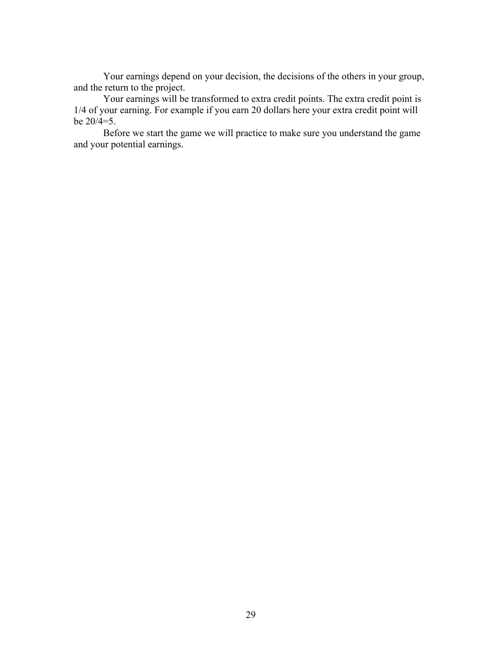Your earnings depend on your decision, the decisions of the others in your group, and the return to the project.

 Your earnings will be transformed to extra credit points. The extra credit point is 1/4 of your earning. For example if you earn 20 dollars here your extra credit point will be  $20/4=5$ .

 Before we start the game we will practice to make sure you understand the game and your potential earnings.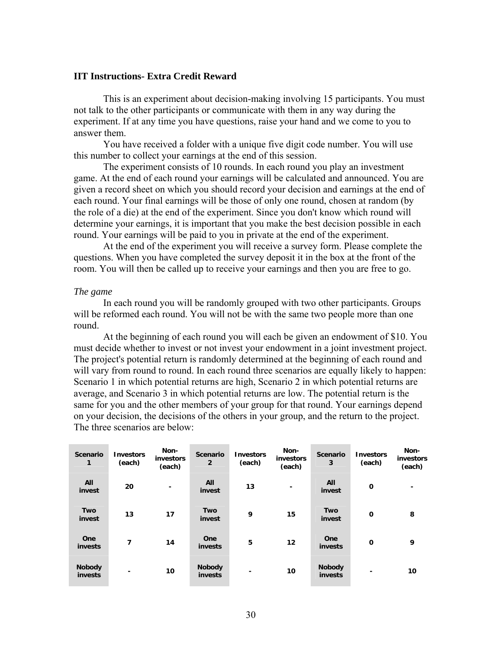#### **IIT Instructions- Extra Credit Reward**

 This is an experiment about decision-making involving 15 participants. You must not talk to the other participants or communicate with them in any way during the experiment. If at any time you have questions, raise your hand and we come to you to answer them.

 You have received a folder with a unique five digit code number. You will use this number to collect your earnings at the end of this session.

 The experiment consists of 10 rounds. In each round you play an investment game. At the end of each round your earnings will be calculated and announced. You are given a record sheet on which you should record your decision and earnings at the end of each round. Your final earnings will be those of only one round, chosen at random (by the role of a die) at the end of the experiment. Since you don't know which round will determine your earnings, it is important that you make the best decision possible in each round. Your earnings will be paid to you in private at the end of the experiment.

 At the end of the experiment you will receive a survey form. Please complete the questions. When you have completed the survey deposit it in the box at the front of the room. You will then be called up to receive your earnings and then you are free to go.

#### *The game*

In each round you will be randomly grouped with two other participants. Groups will be reformed each round. You will not be with the same two people more than one round.

At the beginning of each round you will each be given an endowment of \$10. You must decide whether to invest or not invest your endowment in a joint investment project. The project's potential return is randomly determined at the beginning of each round and will vary from round to round. In each round three scenarios are equally likely to happen: Scenario 1 in which potential returns are high, Scenario 2 in which potential returns are average, and Scenario 3 in which potential returns are low. The potential return is the same for you and the other members of your group for that round. Your earnings depend on your decision, the decisions of the others in your group, and the return to the project. The three scenarios are below:

| Scenario<br>1            | <b>Investors</b><br>(each) | Non-<br>investors<br>(each) | <b>Scenario</b><br>$\overline{2}$ | <b>Investors</b><br>(each) | Non-<br><i>investors</i><br>(each) | <b>Scenario</b><br>3     | <b>Investors</b><br>(each) | Non-<br><b>investors</b><br>(each) |
|--------------------------|----------------------------|-----------------------------|-----------------------------------|----------------------------|------------------------------------|--------------------------|----------------------------|------------------------------------|
| All<br>invest            | 20                         | $\overline{\phantom{a}}$    | All<br>invest                     | 13                         |                                    | All<br>invest            | 0                          | ۰                                  |
| <b>Two</b><br>invest     | 13                         | 17                          | Two<br>invest                     | 9                          | 15                                 | <b>Two</b><br>invest     | 0                          | 8                                  |
| <b>One</b><br>invests    | 7                          | 14                          | <b>One</b><br>invests             | 5                          | 12                                 | One<br>invests           | 0                          | 9                                  |
| <b>Nobody</b><br>invests | -                          | 10                          | <b>Nobody</b><br>invests          | $\blacksquare$             | 10                                 | <b>Nobody</b><br>invests |                            | 10                                 |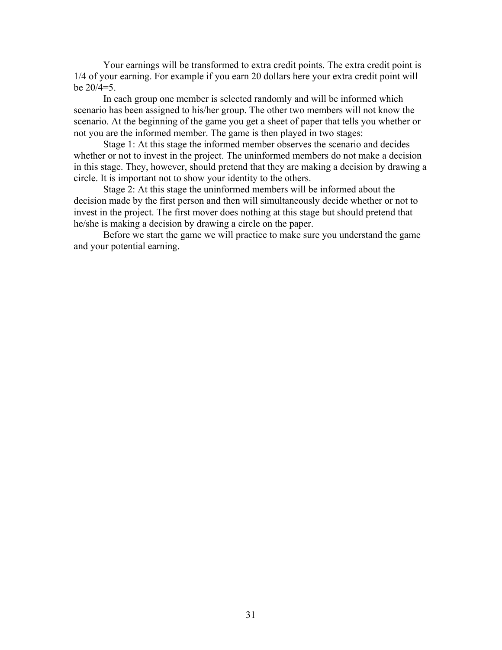Your earnings will be transformed to extra credit points. The extra credit point is 1/4 of your earning. For example if you earn 20 dollars here your extra credit point will be 20/4=5.

 In each group one member is selected randomly and will be informed which scenario has been assigned to his/her group. The other two members will not know the scenario. At the beginning of the game you get a sheet of paper that tells you whether or not you are the informed member. The game is then played in two stages:

 Stage 1: At this stage the informed member observes the scenario and decides whether or not to invest in the project. The uninformed members do not make a decision in this stage. They, however, should pretend that they are making a decision by drawing a circle. It is important not to show your identity to the others.

 Stage 2: At this stage the uninformed members will be informed about the decision made by the first person and then will simultaneously decide whether or not to invest in the project. The first mover does nothing at this stage but should pretend that he/she is making a decision by drawing a circle on the paper.

 Before we start the game we will practice to make sure you understand the game and your potential earning.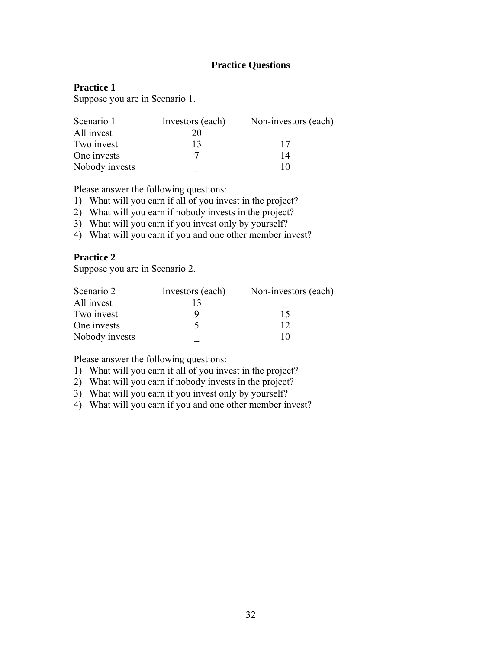# **Practice Questions**

# **Practice 1**

Suppose you are in Scenario 1.

| Scenario 1     | Investors (each) | Non-investors (each) |
|----------------|------------------|----------------------|
| All invest     | 20               |                      |
| Two invest     |                  | 17                   |
| One invests    |                  | 14                   |
| Nobody invests |                  | 10                   |

Please answer the following questions:

- 1) What will you earn if all of you invest in the project?
- 2) What will you earn if nobody invests in the project?
- 3) What will you earn if you invest only by yourself?
- 4) What will you earn if you and one other member invest?

# **Practice 2**

Suppose you are in Scenario 2.

| Scenario 2     | Investors (each) | Non-investors (each) |
|----------------|------------------|----------------------|
| All invest     |                  |                      |
| Two invest     |                  | 15                   |
| One invests    |                  | 12                   |
| Nobody invests |                  | 10                   |

Please answer the following questions:

- 1) What will you earn if all of you invest in the project?
- 2) What will you earn if nobody invests in the project?
- 3) What will you earn if you invest only by yourself?
- 4) What will you earn if you and one other member invest?